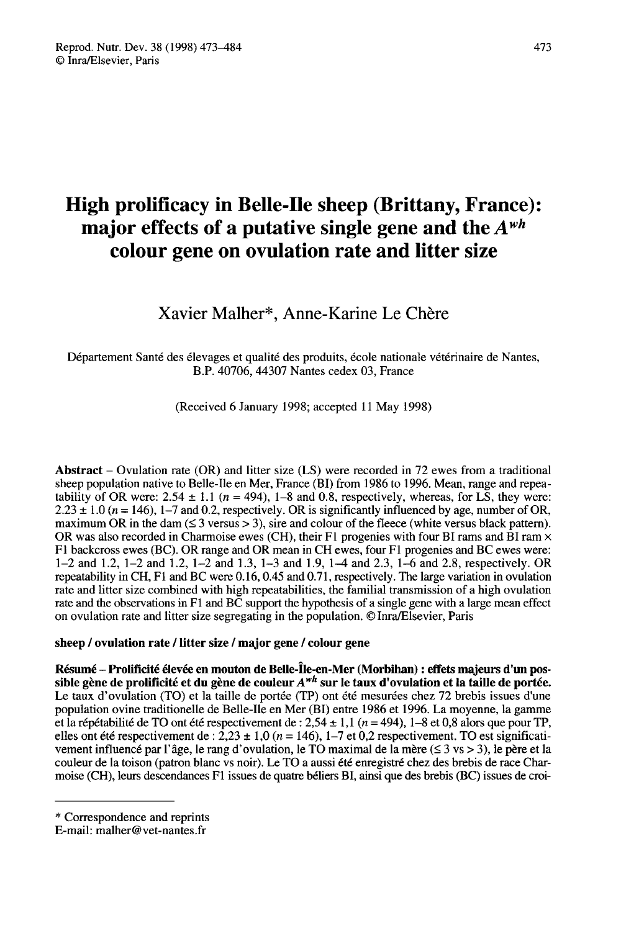# High prolificacy in Belle-Ile sheep (Brittany, France): major effects of a putative single gene and the  $A^{wh}$ colour gene on ovulation rate and litter size

# Xavier Malher\*, Anne-Karine Le Chère

Département Santé des élevages et qualité des produits, école nationale vétérinaire de Nantes, B.P. 40706, 44307 Nantes cedex 03, France

(Received 6 January 1998; accepted 11 May 1998)

Abstract – Ovulation rate (OR) and litter size (LS) were recorded in 72 ewes from a traditional sheep population native to Belle-Ile en Mer, France (BI) from 1986 to 1996. Mean, range and repeatability of OR were:  $2.54 \pm 1.1$  ( $n = 494$ ), 1–8 and 0.8, respectively, whereas, for LS, they were:  $2.23 \pm 1.0$  ( $n = 146$ ), 1–7 and 0.2, respectively. OR is significantly influenced by age, number of OR, maximum OR in the dam  $( \leq 3 \text{ versus } > 3)$ , sire and colour of the fleece (white versus black pattern). OR was also recorded in Charmoise ewes (CH), their F1 progenies with four BI rams and  $\hat{B}$ I ram  $\times$ FI backcross ewes (BC). OR range and OR mean in CH ewes, four Fl progenies and BC ewes were: 1-2 and 1.2, 1-2 and 1.2, 1-2 and 1.3, 1-3 and 1.9, 1-4 and 2.3, 1-6 and 2.8, respectively. OR repeatability in CH, Fl and BC were 0.16, 0.45 and 0.71, respectively. The large variation in ovulation rate and litter size combined with high repeatabilities, the familial transmission of a high ovulation rate and the observations in Fl and BC support the hypothesis of a single gene with a large mean effect on ovulation rate and litter size segregating in the population. ©Inra/Elsevier, Paris

# sheep / ovulation rate / litter size / major gene / colour gene

Résumé - Prolificité élevée en mouton de Belle-Île-en-Mer (Morbihan) : effets majeurs d'un possible gène de prolificité et du gène de couleur  $A^{wh}$  sur le taux d'ovulation et la taille de portée.<br>Le taux d'ovulation (TO) et la taille de portée (TP) ont été mesurées chez 72 brebis issues d'un pos-<br>Le taux d'ovulat Le taux d'ovulation (TO) et la taille de portée (TP) ont été mesurées chez 72 brebis issues d'une population ovine traditionelle de Belle-Ile en Mer (BI) entre 1986 et 1996. La moyenne, la gamme et la répétabilité de TO ont été respectivement de : 2,54 ± 1,1 (n = 494), 1-8 et 0,8 alors que pour TP, elles ont été respectivement de : 2,23 ± 1,0 (n = 146), 1-7 et 0,2 respectivement. TO est significativement influencé par l'âge, le rang d'ovulation, le TO maximal de la mère ( $\leq 3$  vs  $> 3$ ), le père et la couleur de la toison (patron blanc vs noir). Le TO a aussi été enregistré chez des brebis de race Charmoise (CH), leurs descendances FI issues de quatre béliers BI, ainsi que des brebis (BC) issues de croi-

<sup>\*</sup> Correspondence and reprints

E-mail: malher@vet-nantes.fr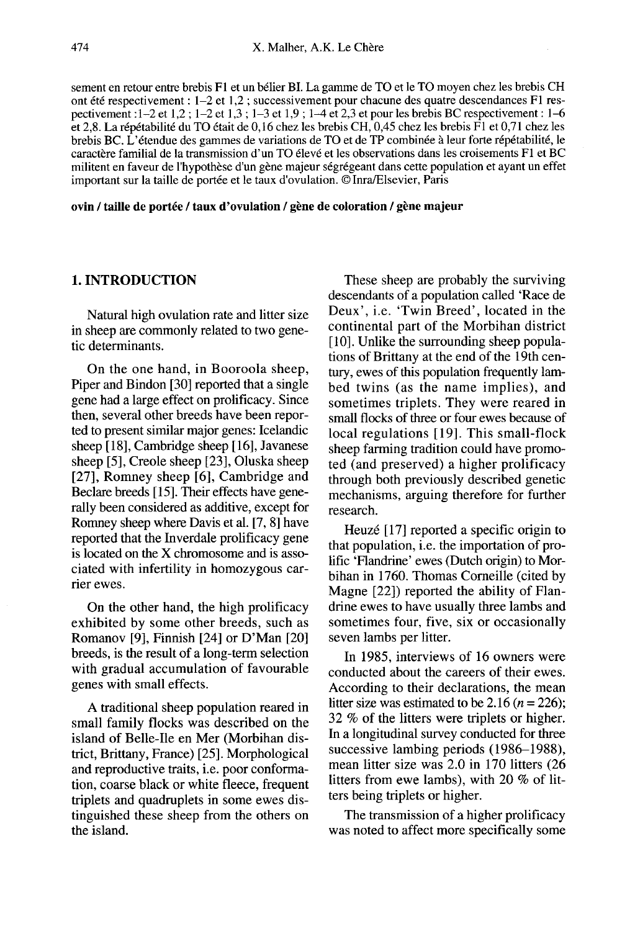sement en retour entre brebis F1 et un bélier BI. La gamme de TO et le TO moyen chez les brebis CH ont été respectivement : 1-2 et 1,2 ; successivement pour chacune des quatre descendances F1 respectivement : :l-2 et 1,2 ; 1-2 et 1,3 ; 1-3 et 1,9 ; 1-4 et 2,3 et pour les brebis BC respectivement : 1-6 et 2,8. La répétabilité du TO était de 0,16 chez les brebis CH, 0,45 chez les brebis F1 et 0,71 chez les brebis BC. L'étendue des gammes de variations de TO et de TP combinée à leur forte répétabilité, le caractère familial de la transmission d'un TO élevé et les observations dans les croisements FI et BC militent en faveur de l'hypothèse d'un gène majeur ségrégeant dans cette population et ayant un effet important sur la taille de portée et le taux d'ovulation. © Inra/Elsevier, Paris

ovin / taille de portée / taux d'ovulation / gène de coloration / gène majeur

# 1. INTRODUCTION

Natural high ovulation rate and litter size in sheep are commonly related to two genetic determinants.

On the one hand, in Booroola sheep, Piper and Bindon [30] reported that a single gene had a large effect on prolificacy. Since then, several other breeds have been reported to present similar major genes: Icelandic sheep [18], Cambridge sheep [16], Javanese sheep [5], Creole sheep [23], Oluska sheep [27], Romney sheep [6], Cambridge and Beclare breeds [ 15]. Their effects have generally been considered as additive, except for Romney sheep where Davis et al. [7, 8] have reported that the Inverdale prolificacy gene is located on the X chromosome and is associated with infertility in homozygous carrier ewes.

On the other hand, the high prolificacy exhibited by some other breeds, such as Romanov [9], Finnish [24] or D'Man [20] breeds, is the result of a long-term selection with gradual accumulation of favourable genes with small effects.

A traditional sheep population reared in small family flocks was described on the island of Belle-Ile en Mer (Morbihan district, Brittany, France) [25]. Morphological and reproductive traits, i.e. poor conformation, coarse black or white fleece, frequent triplets and quadruplets in some ewes distinguished these sheep from the others on the island.

These sheep are probably the surviving descendants of a population called 'Race de Deux', i.e. 'Twin Breed', located in the continental part of the Morbihan district [10]. Unlike the surrounding sheep populations of Brittany at the end of the l9th century, ewes of this population frequently lambed twins (as the name implies), and sometimes triplets. They were reared in small flocks of three or four ewes because of local regulations [19]. This small-flock sheep farming tradition could have promoted (and preserved) a higher prolificacy through both previously described genetic mechanisms, arguing therefore for further research.

Heuzé [17] reported a specific origin to that population, i.e. the importation of prolific 'Flandrine' ewes (Dutch origin) to Morbihan in 1760. Thomas Corneille (cited by Magne [22]) reported the ability of Flandrine ewes to have usually three lambs and sometimes four, five, six or occasionally seven lambs per litter.

In 1985, interviews of 16 owners were conducted about the careers of their ewes. According to their declarations, the mean litter size was estimated to be 2.16 ( $n = 226$ ); 32 % of the litters were triplets or higher. In a longitudinal survey conducted for three successive lambing periods (1986-1988), mean litter size was 2.0 in 170 litters (26 litters from ewe lambs), with 20 % of litters being triplets or higher.

The transmission of a higher prolificacy was noted to affect more specifically some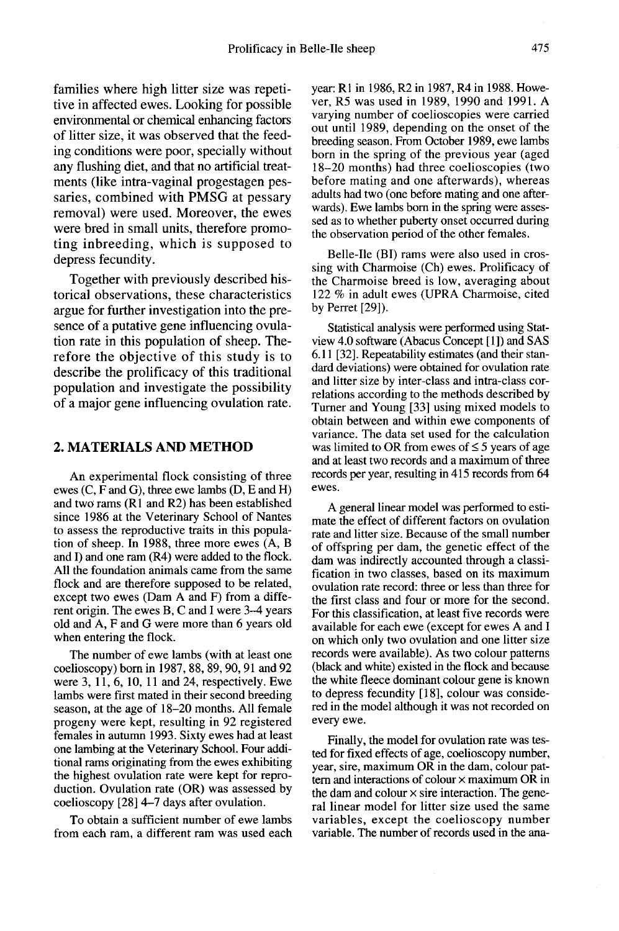families where high litter size was repetitive in affected ewes. Looking for possible environmental or chemical enhancing factors of litter size, it was observed that the feeding conditions were poor, specially without any flushing diet, and that no artificial treatments (like intra-vaginal progestagen pessaries, combined with PMSG at pessary removal) were used. Moreover, the ewes were bred in small units, therefore promoting inbreeding, which is supposed to depress fecundity.

Together with previously described historical observations, these characteristics argue for further investigation into the presence of a putative gene influencing ovulation rate in this population of sheep. Therefore the objective of this study is to describe the prolificacy of this traditional population and investigate the possibility of a major gene influencing ovulation rate.

#### 2. MATERIALS AND METHOD

An experimental flock consisting of three ewes (C, F and G), three ewe lambs (D, E and H) and two rams (R1 and R2) has been established since 1986 at the Veterinary School of Nantes to assess the reproductive traits in this population of sheep. In 1988, three more ewes (A, B and I) and one ram (R4) were added to the flock. All the foundation animals came from the same flock and are therefore supposed to be related, except two ewes (Dam A and F) from a different origin. The ewes B, C and I were 3-4 years old and A, F and G were more than 6 years old when entering the flock.

The number of ewe lambs (with at least one coelioscopy) born in 1987, 88, 89, 90, 91 and 92 were  $3, 11, 6, 10, 11$  and  $24$ , respectively. Ewe lambs were first mated in their second breeding season, at the age of 18-20 months. All female progeny were kept, resulting in 92 registered females in autumn 1993. Sixty ewes had at least one lambing at the Veterinary School. Four additional rams originating from the ewes exhibiting the highest ovulation rate were kept for reproduction. Ovulation rate (OR) was assessed by coelioscopy [28] 4-7 days after ovulation.

To obtain a sufficient number of ewe lambs from each ram, a different ram was used each year: R1 in 1986, R2 in 1987, R4 in 1988. However, R5 was used in 1989, 1990 and 1991. A varying number of coelioscopies were carried out until 1989, depending on the onset of the breeding season. From October 1989, ewe lambs born in the spring of the previous year (aged 18-20 months) had three coelioscopies (two before mating and one afterwards), whereas adults had two (one before mating and one afterwards). Ewe lambs born in the spring were assessed as to whether puberty onset occurred during the observation period of the other females.

Belle-Ile (BI) rams were also used in crossing with Charmoise (Ch) ewes. Prolificacy of the Charmoise breed is low, averaging about 122 % in adult ewes (UPRA Charmoise, cited by Perret [29]).

Statistical analysis were performed using Statview 4.0 software (Abacus Concept [1]) and SAS 6.11 [32]. Repeatability estimates (and their standard deviations) were obtained for ovulation rate and litter size by inter-class and intra-class correlations according to the methods described by Turner and Young [33] using mixed models to obtain between and within ewe components of variance. The data set used for the calculation was limited to OR from ewes of  $\leq$  5 years of age and at least two records and a maximum of three records per year, resulting in 415 records from 64 ewes.

A general linear model was performed to estimate the effect of different factors on ovulation rate and litter size. Because of the small number of offspring per dam, the genetic effect of the dam was indirectly accounted through a classification in two classes, based on its maximum ovulation rate record: three or less than three for the first class and four or more for the second. For this classification, at least five records were available for each ewe (except for ewes A and I on which only two ovulation and one litter size records were available). As two colour patterns (black and white) existed in the flock and because the white fleece dominant colour gene is known to depress fecundity [18], colour was considered in the model although it was not recorded on every ewe.

Finally, the model for ovulation rate was tested for fixed effects of age, coelioscopy number, vear, sire, maximum OR in the dam, colour pattern and interactions of colour  $\times$  maximum OR in the dam and colour  $\times$  sire interaction. The general linear model for litter size used the same variables, except the coelioscopy number variable. The number of records used in the ana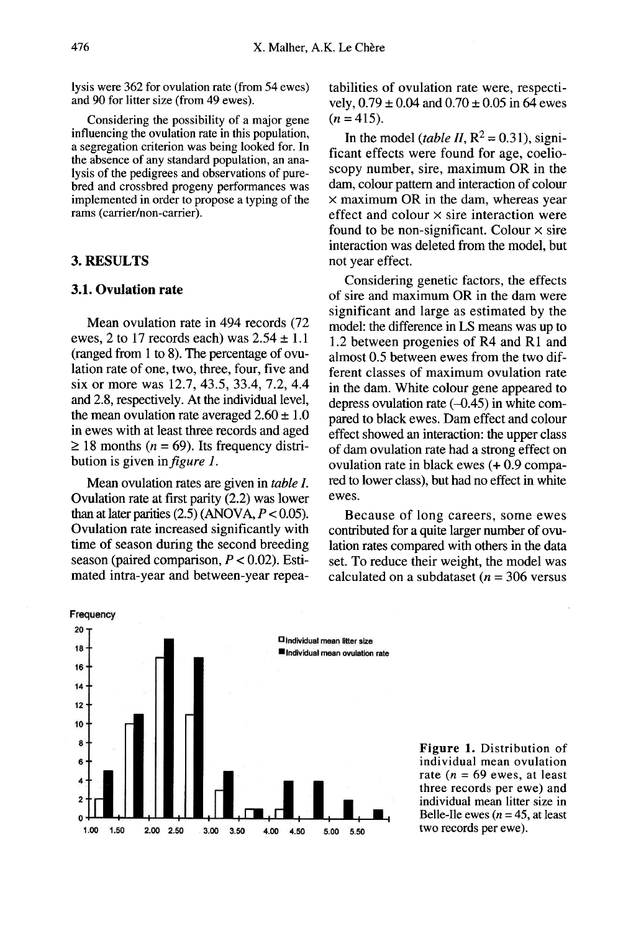lysis were 362 for ovulation rate (from 54 ewes) and 90 for litter size (from 49 ewes).

Considering the possibility of a major gene influencing the ovulation rate in this population, a segregation criterion was being looked for. In the absence of any standard population, an analysis of the pedigrees and observations of purebred and crossbred progeny performances was implemented in order to propose a typing of the rams (carrier/non-carrier).

#### 3. RESULTS

## 3.1. Ovulation rate

Mean ovulation rate in 494 records (72 ewes, 2 to 17 records each) was  $2.54 \pm 1.1$ (ranged from 1 to 8). The percentage of ovulation rate of one, two, three, four, five and six or more was 12.7, 43.5, 33.4, 7.2, 4.4 and 2.8, respectively. At the individual level, the mean ovulation rate averaged  $2.60 \pm 1.0$ <br>in ewes with at least three records and aged  $\geq$  18 months (n = 69). Its frequency distribution is given in *figure 1*.

Mean ovulation rates are given in table I. Ovulation rate at first parity (2.2) was lower than at later parities  $(2.5)$  (ANOVA,  $P < 0.05$ ). Ovulation rate increased significantly with<br>time of season during the second breeding season (paired comparison,  $P < 0.02$ ). Estimated intra-year and between-year repeatabilities of ovulation rate were, respectively,  $0.79 \pm 0.04$  and  $0.70 \pm 0.05$  in 64 ewes  $(n = 415)$ .

In the model (table II,  $R^2 = 0.31$ ), significant effects were found for age, coelioscopy number, sire, maximum OR in the dam, colour pattern and interaction of colour  $\times$  maximum OR in the dam, whereas year effect and colour  $\times$  sire interaction were found to be non-significant. Colour  $\times$  sire interaction was deleted from the model, but not year effect.

Considering genetic factors, the effects of sire and maximum OR in the dam were significant and large as estimated by the model: the difference in LS means was up to 1.2 between progenies of R4 and R1 and almost 0.5 between ewes from the two different classes of maximum ovulation rate in the dam. White colour gene appeared to depress ovulation rate  $(-0.45)$  in white compared to black ewes. Dam effect and colour effect showed an interaction: the upper class of dam ovulation rate had a strong effect on ovulation rate in black ewes (+ 0.9 compared to lower class), but had no effect in white ewes.

Because of long careers, some ewes contributed for a quite larger number of ovulation rates compared with others in the data set. To reduce their weight, the model was calculated on a subdataset ( $n = 306$  versus



**Figure 1.** Distribution of individual mean ovulation rate ( $n = 69$  ewes, at least three records per ewe) and individual mean litter size in Belle-Ile ewes ( $n = 45$ , at least two records per ewe).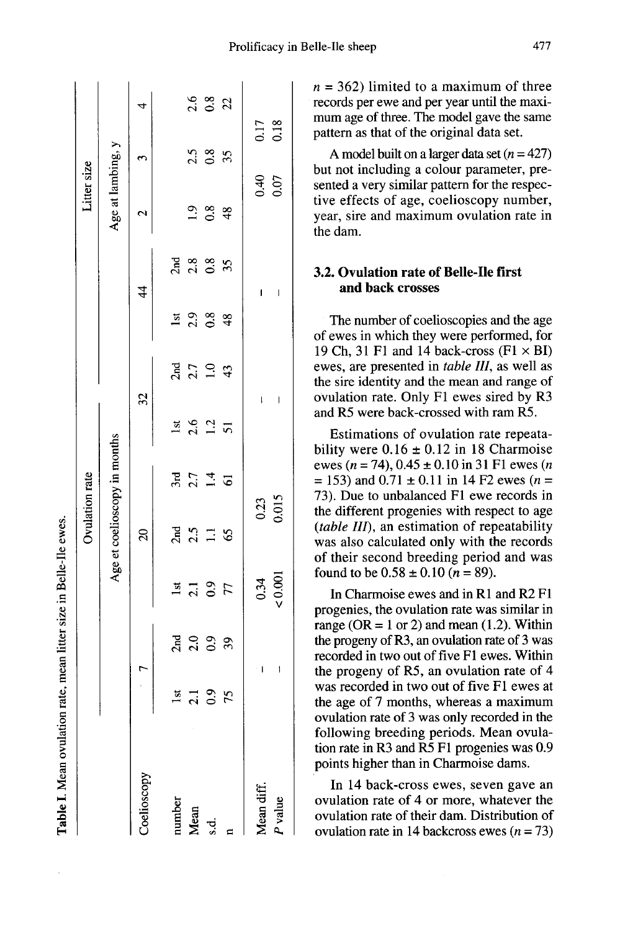|              |                  |             |                   | Ovulation rate                                 |                              |                    |                                               |                        |                          | Litter size       |              |                |
|--------------|------------------|-------------|-------------------|------------------------------------------------|------------------------------|--------------------|-----------------------------------------------|------------------------|--------------------------|-------------------|--------------|----------------|
|              |                  |             |                   |                                                | Age et coelioscopy in months |                    |                                               |                        |                          | Age at lambing, y |              |                |
| Coelioscopy  | $\mathbf{r}$     |             |                   | $\mathbf{z}$                                   |                              |                    | 32                                            |                        | $\frac{4}{4}$            | $\mathbf{c}$      | $\mathbf{c}$ | $\overline{a}$ |
| number       | lst              |             | 1st               |                                                | 3rd                          | lst                |                                               | lst                    |                          |                   |              |                |
| Mean<br>s.d. |                  |             |                   |                                                | $2.7$<br>1.4                 | 2.6                |                                               |                        |                          |                   |              |                |
|              | $\frac{21}{0.9}$ | 300000      | $\frac{2.1}{0.9}$ | $\frac{25}{21}$ $\frac{11}{25}$ $\frac{16}{5}$ |                              | $1.2 \overline{5}$ | $\frac{1}{2}$ 7 $\frac{1}{2}$ 9 $\frac{4}{3}$ | $2.9$<br>$0.8$<br>$48$ | 788085                   | $2.8$<br>$48$     | $2.5$ $8.5$  | $2.6$ $8.2$    |
|              | 75               |             |                   |                                                | $\overline{6}$               |                    |                                               |                        |                          |                   |              |                |
| Vlean diff.  |                  | I           | $0.34$<br>$0.001$ | $\frac{0.23}{0.015}$                           |                              |                    | ļ                                             |                        | I                        | 0.07              |              | 0.17<br>0.18   |
| P value      |                  | $\mathbf i$ |                   |                                                |                              |                    | $\overline{\phantom{a}}$                      |                        | $\overline{\phantom{a}}$ |                   |              |                |

Table I. Mean ovulation rate, mean litter size in Belle-Ile ewes.

 $n = 362$ ) limited to a maximum of three records per ewe and per year until the maximum age of three. The model gave the same pattern as that of the original data set.

A model built on a larger data set  $(n = 427)$ but not including a colour parameter, presented a very similar pattern for the respective effects of age, coelioscopy number, year, sire and maximum ovulation rate in the dam.

# 3.2. Ovulation rate of Belle-Ile first and back crosses

The number of coelioscopies and the age of ewes in which they were performed, for 19 Ch, 31 F1 and 14 back-cross  $(F1 \times BI)$ ewes, are presented in table III, as well as the sire identity and the mean and range of ovulation rate. Only Fl ewes sired by R3 and R5 were back-crossed with ram R5.

Estimations of ovulation rate repeatability were  $0.16 \pm 0.12$  in 18 Charmoise ewes ( $n = 74$ ),  $0.45 \pm 0.10$  in 31 F1 ewes ( $n = 153$ ) and  $0.71 \pm 0.11$  in 14 F2 ewes ( $n =$ 73). Due to unbalanced Fl ewe records in the different progenies with respect to age (table 111), an estimation of repeatability was also calculated only with the records of their second breeding period and was found to be  $0.58 \pm 0.10$  ( $n = 89$ ).

In Charmoise ewes and in R1 and R2 Fl progenies, the ovulation rate was similar in range ( $OR = 1$  or 2) and mean (1.2). Within the progeny of R3, an ovulation rate of 3 was recorded in two out of five F1 ewes. Within the progeny of R5, an ovulation rate of 4 was recorded in two out of five F1 ewes at the age of 7 months, whereas a maximum ovulation rate of 3 was only recorded in the following breeding periods. Mean ovulation rate in R3 and R5 Fl progenies was 0.9 points higher than in Charmoise dams.

In 14 back-cross ewes, seven gave an ovulation rate of 4 or more, whatever the ovulation rate of their dam. Distribution of ovulation rate in 14 backcross ewes  $(n = 73)$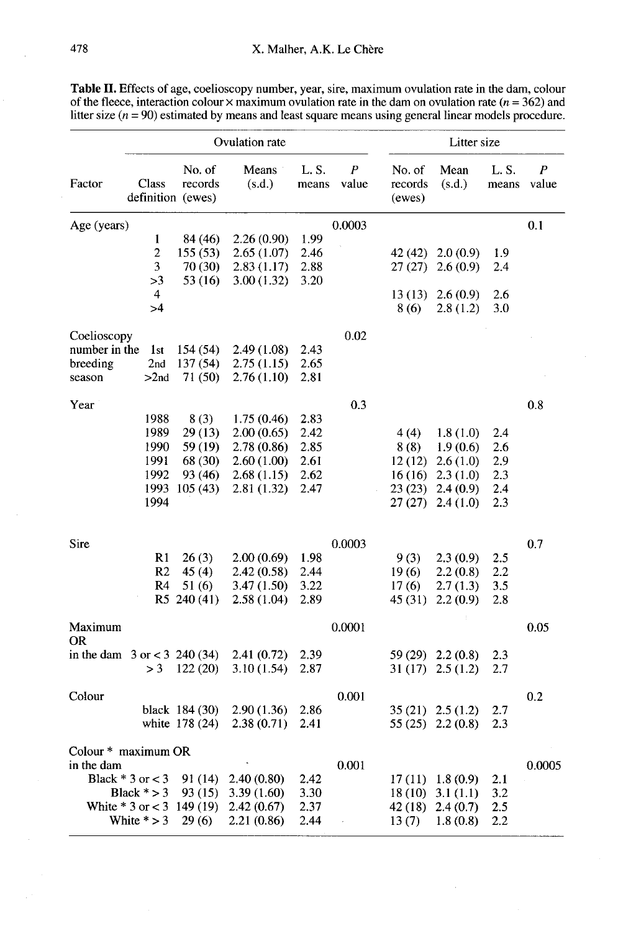| Table II. Effects of age, coelioscopy number, year, sire, maximum ovulation rate in the dam, colour              |  |
|------------------------------------------------------------------------------------------------------------------|--|
| of the fleece, interaction colour $\times$ maximum ovulation rate in the dam on ovulation rate ( $n = 362$ ) and |  |
| litter size $(n = 90)$ estimated by means and least square means using general linear models procedure.          |  |

|                                  |                               |                                        | Ovulation rate  |               |            |                             | Litter size         |                |            |
|----------------------------------|-------------------------------|----------------------------------------|-----------------|---------------|------------|-----------------------------|---------------------|----------------|------------|
| Factor                           | <b>Class</b>                  | No. of<br>records<br>definition (ewes) | Means<br>(s.d.) | L.S.<br>means | P<br>value | No. of<br>records<br>(ewes) | Mean<br>(s.d.)      | L. S.<br>means | P<br>value |
| Age (years)                      |                               |                                        |                 |               | 0.0003     |                             |                     |                | 0.1        |
|                                  | 1                             | 84 (46)                                | 2.26(0.90)      | 1.99          |            |                             |                     |                |            |
|                                  | $\overline{c}$                | 155 (53)                               | 2.65(1.07)      | 2.46          |            | 42 (42)                     | 2.0(0.9)            | 1.9            |            |
|                                  | 3                             | 70 (30)                                | 2.83(1.17)      | 2.88          |            | 27(27)                      | 2.6(0.9)            | 2.4            |            |
|                                  | >3                            | 53 (16)                                | 3.00(1.32)      | 3.20          |            |                             |                     |                |            |
|                                  | 4                             |                                        |                 |               |            | 13(13)                      | 2.6(0.9)            | 2.6            |            |
|                                  | >4                            |                                        |                 |               |            | 8(6)                        | 2.8(1.2)            | 3.0            |            |
| Coelioscopy                      |                               |                                        |                 |               | 0.02       |                             |                     |                |            |
| number in the                    | 1st                           | 154 (54)                               | 2.49(1.08)      | 2.43          |            |                             |                     |                |            |
| breeding                         | 2nd                           | 137 (54)                               | 2.75(1.15)      | 2.65          |            |                             |                     |                |            |
| season                           | >2nd                          | 71 (50)                                | 2.76(1.10)      | 2.81          |            |                             |                     |                |            |
|                                  |                               |                                        |                 |               |            |                             |                     |                |            |
| Year                             |                               |                                        |                 |               | 0.3        |                             |                     |                | 0.8        |
|                                  | 1988                          | 8(3)                                   | 1.75(0.46)      | 2.83          |            |                             |                     |                |            |
|                                  | 1989                          | 29 (13)                                | 2.00(0.65)      | 2.42          |            | 4(4)                        | 1.8(1.0)            | 2.4            |            |
|                                  | 1990                          | 59 (19)                                | 2.78(0.86)      | 2.85          |            | 8(8)                        | 1.9(0.6)            | 2.6            |            |
|                                  | 1991                          | 68 (30)                                | 2.60(1.00)      | 2.61          |            | 12(12)                      | 2.6(1.0)            | 2.9            |            |
|                                  | 1992                          | 93 (46)                                | 2.68(1.15)      | 2.62          |            | 16(16)                      | 2.3(1.0)            | 2.3            |            |
|                                  | 1993                          | 105(43)                                | 2.81(1.32)      | 2.47          |            | 23(23)                      | 2.4(0.9)            | 2.4            |            |
|                                  | 1994                          |                                        |                 |               |            | 27(27)                      | 2.4(1.0)            | 2.3            |            |
|                                  |                               |                                        |                 |               |            |                             |                     |                |            |
| Sire                             |                               |                                        |                 |               | 0.0003     |                             |                     |                | 0.7        |
|                                  | R1                            | 26(3)                                  | 2.00(0.69)      | 1.98          |            | 9(3)                        | 2.3(0.9)            | 2.5            |            |
|                                  | R <sub>2</sub>                | 45(4)                                  | 2.42 (0.58)     | 2.44          |            | 19(6)                       | 2.2(0.8)            | 2.2            |            |
|                                  | R <sub>4</sub>                | 51 (6)                                 | 3.47(1.50)      | 3.22          |            | 17(6)                       | 2.7(1.3)            | 3.5            |            |
|                                  |                               | R5 240 (41)                            | 2.58(1.04)      | 2.89          |            | 45 (31)                     | 2.2(0.9)            | 2.8            |            |
| Maximum                          |                               |                                        |                 |               | 0.0001     |                             |                     |                | 0.05       |
| <b>OR</b>                        |                               |                                        |                 |               |            |                             |                     |                |            |
| in the dam $3$ or $<$ 3 240 (34) |                               |                                        | 2.41 (0.72)     | 2.39          |            |                             | 59 (29) 2.2 (0.8)   | 2.3            |            |
|                                  | $>$ 3                         | 122(20)                                | 3.10(1.54)      | 2.87          |            |                             | $31(17)$ $2.5(1.2)$ | 2.7            |            |
| Colour                           |                               |                                        |                 |               | 0.001      |                             |                     |                | 0.2        |
|                                  |                               | black 184 (30)                         | 2.90 (1.36)     | 2.86          |            | 35 (21)                     | 2.5(1.2)            | 2.7            |            |
|                                  |                               | white 178 (24)                         | 2.38 (0.71)     | 2.41          |            | 55(25)                      | 2.2(0.8)            | 2.3            |            |
|                                  |                               |                                        |                 |               |            |                             |                     |                |            |
| Colour * maximum OR              |                               |                                        |                 |               |            |                             |                     |                |            |
| in the dam                       |                               |                                        |                 |               | 0.001      |                             |                     |                | 0.0005     |
|                                  | Black $*3$ or $<$ 3           | 91 (14)                                | 2.40(0.80)      | 2.42          |            | 17 (11)                     | 1.8(0.9)            | 2.1            |            |
|                                  | Black $* > 3$                 | 93 (15)                                | 3.39(1.60)      | 3.30          |            | 18(10)                      | 3.1(1.1)            | 3.2            |            |
|                                  | White $* 3$ or $< 3$ 149 (19) |                                        | 2.42(0.67)      | 2.37          |            | 42 (18)                     | 2.4(0.7)            | 2.5            |            |
|                                  | White $* > 3$                 | 29(6)                                  | 2.21 (0.86)     | 2.44          |            | 13(7)                       | 1.8(0.8)            | $2.2\,$        |            |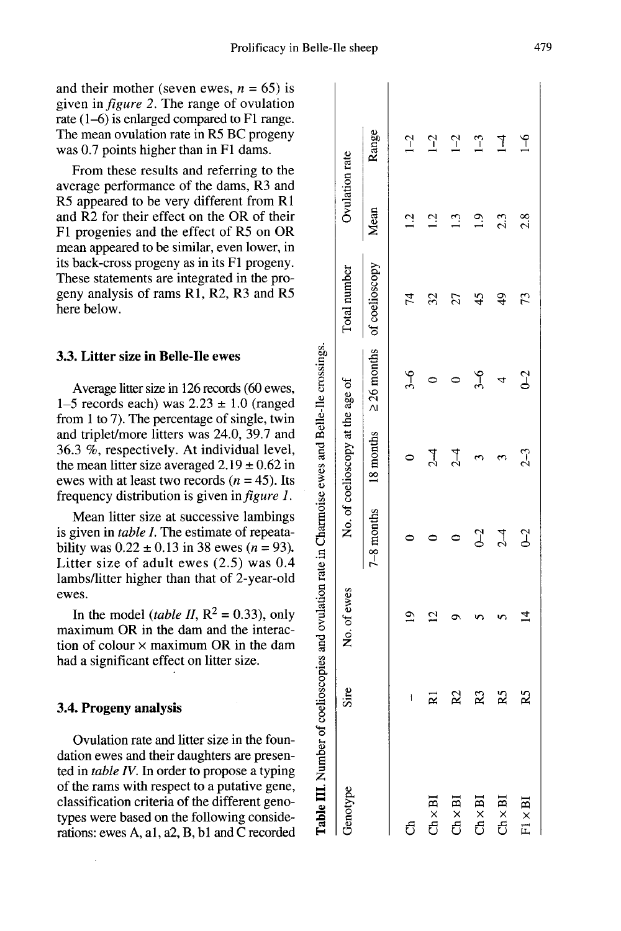Table III. Number of coelioscopies and ovulation rate in Charmoise ewes and Belle-Ile crossings.

 $\overline{1}$ 

and their mother (seven ewes,  $n = 65$ ) is given in figure 2. The range of ovulation rate (1-6) is enlarged compared to F1 range. The mean ovulation rate in R5 BC progeny was 0.7 points higher than in F1 dams.

From these results and referring to the average performance of the dams, R3 and R5 appeared to be very different from R1 and R2 for their effect on the OR of their Fl progenies and the effect of R5 on OR mean appeared to be similar, even lower, in its back-cross progeny as in its F1 progeny. These statements are integrated in the progeny analysis of rams Rl, R2, R3 and R5 here below.

## 3.3. Litter size in Belle-Ile ewes

Average litter size in 126 records (60 ewes, 1-5 records each) was  $2.23 \pm 1.0$  (ranged from 1 to 7). The percentage of single, twin and triplet/more litters was 24.0, 39.7 and 36.3 %, respectively. At individual level, the mean litter size averaged  $2.19 \pm 0.62$  in ewes with at least two records ( $n = 45$ ). Its frequency distribution is given in figure 1.

Mean litter size at successive lambings is given in table I. The estimate of repeatability was  $0.22 \pm 0.13$  in 38 ewes (*n* = 93). Litter size of adult ewes (2.5) was 0.4 lambs/litter higher than that of 2-year-old ewes.

In the model (table II,  $R^2 = 0.33$ ), only maximum OR in the dam and the interaction of colour  $\times$  maximum OR in the dam had a significant effect on litter size.

# 3.4. Progeny analysis

Ovulation rate and litter size in the foundation ewes and their daughters are presented in table IV. In order to propose a typing of the rams with respect to a putative gene, classification criteria of the different genotypes were based on the following considerations: ewes A, al, a2, B, bl and C recorded

| Genotype                       | Sire | No. of ewes |                | No. of coelioscopy at the age of |         | Total number                                         | Ovulation rate  |                |  |
|--------------------------------|------|-------------|----------------|----------------------------------|---------|------------------------------------------------------|-----------------|----------------|--|
|                                |      |             |                |                                  |         | 7-8 months 18 months $\geq 26$ months of coelioscopy | Mean            | Range          |  |
| Ą                              | 1    | $\tilde{e}$ | $\subset$      |                                  | $3 - 6$ | 74                                                   | $\overline{12}$ | $1 - 2$        |  |
| $\ln \times \text{BI}$         | ⊠    |             |                | $\overline{C}$                   |         | 32                                                   | $\overline{12}$ | $\sqrt{1}$     |  |
| $Th \times BI$                 | 22   |             |                | $\overline{1}$                   |         | 27                                                   | 13              | $\sqrt{2}$     |  |
| $2h \times BI$                 | 23   |             | $\sigma$       |                                  | ჭ.      | 45                                                   | $\frac{1}{2}$   | $1-3$          |  |
| $\mathbb{Z} \times \mathbf{B}$ | Ř    |             | $\overline{C}$ |                                  | 4       | $\frac{4}{9}$                                        | 2.3             | $\overline{1}$ |  |

 $\tilde{P}$ 

 $2.8$ 

 $\overline{73}$ 

 $2<sup>1</sup>$ 

 $2-3$ 

 $-2$ 

 $\overline{4}$ 

 $\overline{2}$ 

 $\times \mathbf{B}$  $\vec{E}$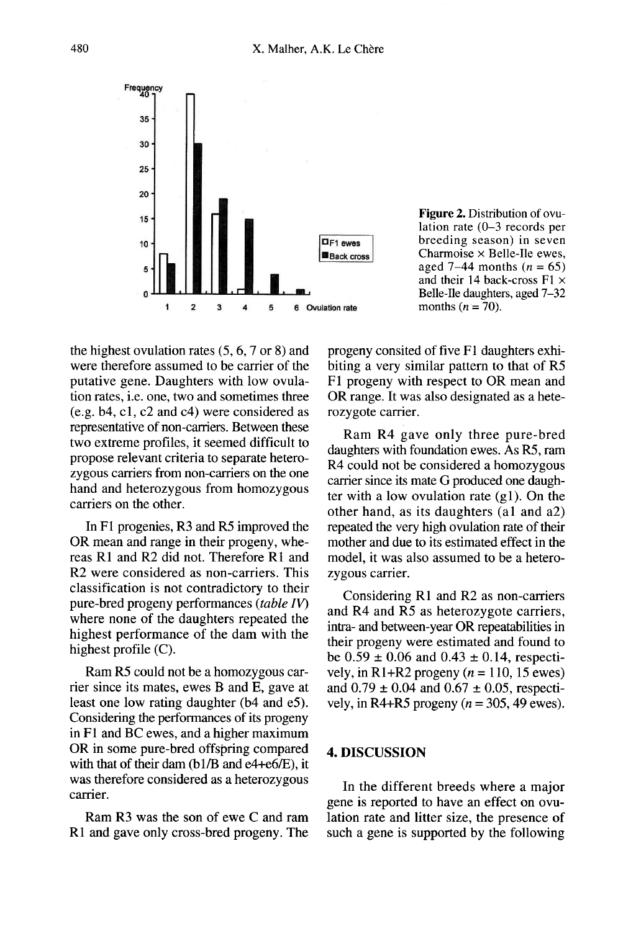

Figure 2. Distribution of ovulation rate  $(0-3$  records per breeding season) in seven Charmoise  $\times$  Belle-Ile ewes, aged 7–44 months  $(n = 65)$ and their 14 back-cross  $F1 \times$ Belle-Ile daughters, aged 7-32 months  $(n = 70)$ .

the highest ovulation rates (5, 6, 7 or 8) and were therefore assumed to be carrier of the putative gene. Daughters with low ovulation rates, i.e. one, two and sometimes three (e.g. b4, cl, c2 and c4) were considered as representative of non-carriers. Between these two extreme profiles, it seemed difficult to propose relevant criteria to separate heterozygous carriers from non-carriers on the one hand and heterozygous from homozygous carriers on the other.

In F1 progenies, R3 and R5 improved the OR mean and range in their progeny, whereas Rl and R2 did not. Therefore R1 and R2 were considered as non-carriers. This classification is not contradictory to their pure-bred progeny performances (table IV) where none of the daughters repeated the highest performance of the dam with the highest profile (C).

Ram R5 could not be a homozygous carrier since its mates, ewes B and E, gave at least one low rating daughter (b4 and e5). Considering the performances of its progeny in F1 and BC ewes, and a higher maximum OR in some pure-bred offspring compared with that of their dam (bl/B and e4+e6/E), it was therefore considered as a heterozygous carrier.

Ram R3 was the son of ewe C and ram R1 and gave only cross-bred progeny. The progeny consited of five F1 daughters exhibiting a very similar pattern to that of R5 F1 progeny with respect to OR mean and OR range. It was also designated as a heterozygote carrier.

Ram R4 gave only three pure-bred daughters with foundation ewes. As R5, ram R4 could not be considered a homozygous carrier since its mate G produced one daughter with a low ovulation rate  $(g1)$ . On the other hand, as its daughters (al and a2) repeated the very high ovulation rate of their mother and due to its estimated effect in the model, it was also assumed to be a heterozygous carrier.

Considering R1 and R2 as non-carriers and R4 and R5 as heterozygote carriers, intra- and between-year OR repeatabilities in their progeny were estimated and found to be  $0.59 \pm 0.06$  and  $0.43 \pm 0.14$ , respectively, in R1+R2 progeny  $(n = 110, 15$  ewes) and  $0.79 \pm 0.04$  and  $0.67 \pm 0.05$ , respectively, in R4+R5 progeny ( $n = 305, 49$  ewes).

# 4. DISCUSSION

In the different breeds where a major gene is reported to have an effect on ovulation rate and litter size, the presence of such a gene is supported by the following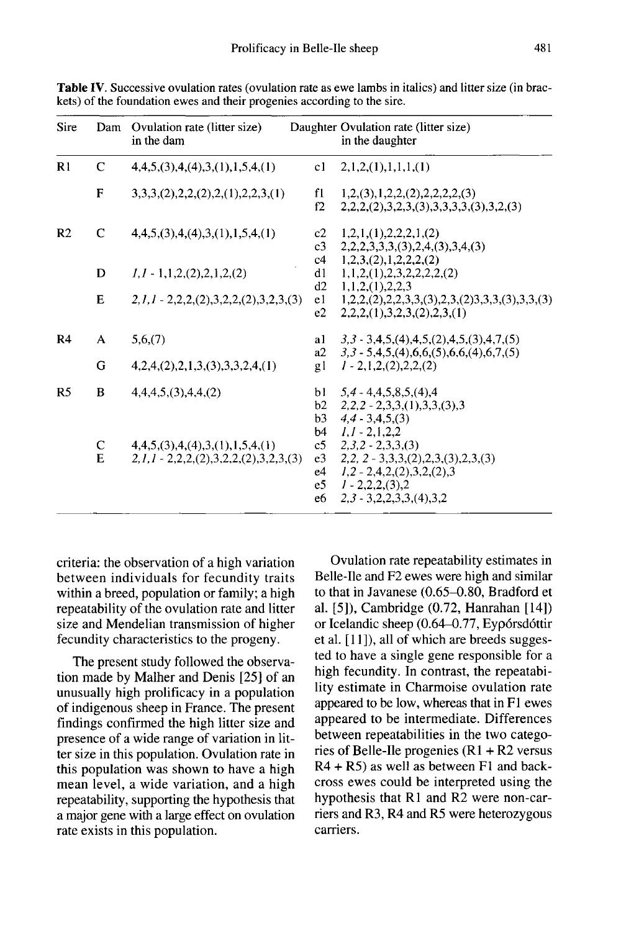| Sire           |              | Dam Ovulation rate (litter size)<br>in the dam                                |                                        | Daughter Ovulation rate (litter size)<br>in the daughter                                                                                         |
|----------------|--------------|-------------------------------------------------------------------------------|----------------------------------------|--------------------------------------------------------------------------------------------------------------------------------------------------|
| R1             | $\mathbf C$  | 4,4,5,(3),4,(4),3,(1),1,5,4,(1)                                               | c1                                     | 2,1,2,(1),1,1,1,(1)                                                                                                                              |
|                | $\mathbf{F}$ | $3,3,3, (2), 2,2, (2), 2, (1), 2, 2, 3, (1)$                                  | f1<br>f2                               | 1,2,(3),1,2,2,(2),2,2,2,2,(3)<br>$2,2,2, (2),3,2,3, (3),3,3,3,3, (3),3,2, (3)$                                                                   |
| R <sub>2</sub> | C            | 4,4,5,(3),4,(4),3,(1),1,5,4,(1)                                               | c <sub>3</sub>                         | c2 $1,2,1,(1),2,2,2,1,(2)$<br>2,2,2,3,3,3,3,3,2,4,3,3,4,3                                                                                        |
|                | D            | $1, 1 - 1, 1, 2, (2), 2, 1, 2, (2)$                                           | c4<br>d1                               | 1,2,3,(2),1,2,2,2,(2)<br>1, 1, 2, (1), 2, 3, 2, 2, 2, 2, (2)                                                                                     |
|                | E            | $2,1,1 - 2,2,2, (2),3,2,2, (2),3,2,3, (3)$                                    | d2<br>e1<br>e2                         | 1, 1, 2, (1), 2, 2, 3<br>$1,2,2, (2),2,2,3,3, (3),2,3, (2),3,3, (3),3,3, (3)$<br>2,2,2, (1),3,2,3, (2),2,3, (1)                                  |
| R <sub>4</sub> | $\mathsf{A}$ | 5,6,(7)                                                                       | a1                                     | $3,3-3,4,5,(4),4,5,(2),4,5,(3),4,7,(5)$                                                                                                          |
|                | G            | 4,2,4,(2),2,1,3,(3),3,3,2,4,(1)                                               | gl                                     | a2 $3,3-5,4,5,(4),6,6,(5),6,6,(4),6,7,(5)$<br>$1 - 2, 1, 2, (2), 2, 2, (2)$                                                                      |
| R <sub>5</sub> | B            | 4,4,4,5, (3),4,4, (2)                                                         | b3<br>b4                               | b1 $5.4 - 4.4.5, 8.5, (4)$ .4<br>b2 $2,2,2$ - 2,3,3,(1),3,3,(3),3<br>$4.4 - 3.4.5(3)$<br>$1.1 - 2.1.2.2$                                         |
|                | C<br>E       | 4,4,5,(3),4,(4),3,(1),1,5,4,(1)<br>$2,1,1 - 2,2,2, (2),3,2,2, (2),3,2,3, (3)$ | c5<br>e <sub>3</sub><br>e4<br>e5<br>e6 | $2,3,2 - 2,3,3$<br>$2,2, 2-3,3,3, (2), 2,3, (3), 2,3, (3)$<br>$1,2 - 2,4,2,(2),3,2,(2),3$<br>$1 - 2, 2, 2, (3), 2$<br>$2,3 - 3,2,2,3,3, (4),3,2$ |

Table IV. Successive ovulation rates (ovulation rate as ewe lambs in italics) and litter size (in brackets) of the foundation ewes and their progenies according to the sire.

criteria: the observation of a high variation between individuals for fecundity traits within a breed, population or family; a high repeatability of the ovulation rate and litter size and Mendelian transmission of higher fecundity characteristics to the progeny.

The present study followed the observation made by Malher and Denis [25] of an unusually high prolificacy in a population of indigenous sheep in France. The present findings confirmed the high litter size and presence of a wide range of variation in litter size in this population. Ovulation rate in this population was shown to have a high mean level, a wide variation, and a high repeatability, supporting the hypothesis that a major gene with a large effect on ovulation rate exists in this population.

Ovulation rate repeatability estimates in Belle-Ile and F2 ewes were high and similar to that in Javanese (0.65-0.80, Bradford et al. [5]), Cambridge (0.72, Hanrahan [14]) or Icelandic sheep (0.64-0.77, Eyp6rsd6ttir et al.  $[11]$ , all of which are breeds suggested to have a single gene responsible for a high fecundity. In contrast, the repeatability estimate in Charmoise ovulation rate appeared to be low, whereas that in F1 ewes appeared to be intermediate. Differences between repeatabilities in the two categories of Belle-Ile progenies  $(R1 + R2)$  versus R4 + R5) as well as between Fl and backcross ewes could be interpreted using the hypothesis that R1 and R2 were non-carriers and R3, R4 and R5 were heterozygous carriers.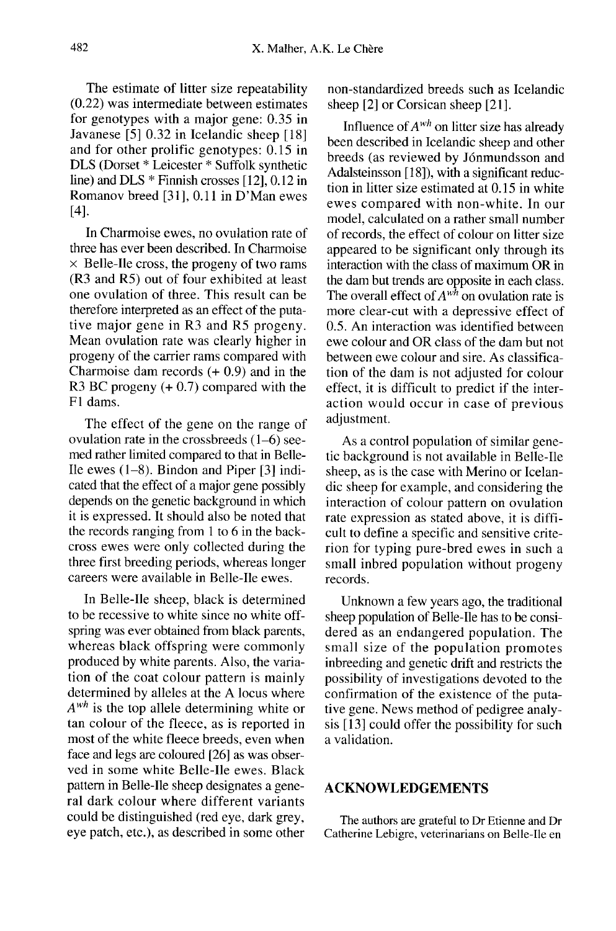The estimate of litter size repeatability (0.22) was intermediate between estimates for genotypes with a major gene: 0.35 in Javanese [5] 0.32 in Icelandic sheep [18] and for other prolific genotypes: 0.15 in DLS (Dorset \* Leicester \* Suffolk synthetic line) and DLS \* Finnish crosses [l2], 0.12 in Romanov breed [31], 0.11 in D'Man ewes [4].

In Charmoise ewes, no ovulation rate of three has ever been described. In Charmoise  $\times$  Belle-Ile cross, the progeny of two rams (R3 and R5) out of four exhibited at least one ovulation of three. This result can be therefore interpreted as an effect of the putative major gene in R3 and R5 progeny. Mean ovulation rate was clearly higher in progeny of the carrier rams compared with Charmoise dam records (+ 0.9) and in the R3 BC progeny (+ 0.7) compared with the F1 dams.

The effect of the gene on the range of ovulation rate in the crossbreeds (1-6) seemed rather limited compared to that in Belle-Ile ewes (1-8). Bindon and Piper [3] indicated that the effect of a major gene possibly depends on the genetic background in which it is expressed. It should also be noted that the records ranging from 1 to 6 in the backcross ewes were only collected during the three first breeding periods, whereas longer careers were available in Belle-Ile ewes.

In Belle-Ile sheep, black is determined to be recessive to white since no white offspring was ever obtained from black parents, whereas black offspring were commonly produced by white parents. Also, the variation of the coat colour pattern is mainly determined by alleles at the A locus where  $A^{wh}$  is the top allele determining white or tan colour of the fleece, as is reported in most of the white fleece breeds, even when face and legs are coloured [26] as was observed in some white Belle-Ile ewes. Black pattern in Belle-Ile sheep designates a general dark colour where different variants could be distinguished (red eye, dark grey, eye patch, etc.), as described in some other

non-standardized breeds such as Icelandic sheep [2] or Corsican sheep [21].

Influence of  $A^{wh}$  on litter size has already been described in Icelandic sheep and other breeds (as reviewed by J6nmundsson and Adalsteinsson [18]), with a significant reduction in litter size estimated at 0.15 in white ewes compared with non-white. In our model, calculated on a rather small number of records, the effect of colour on litter size appeared to be significant only through its interaction with the class of maximum OR in the dam but trends are opposite in each class. The overall effect of  $A^{wh}$  on ovulation rate is more clear-cut with a depressive effect of 0.5. An interaction was identified between ewe colour and OR class of the dam but not between ewe colour and sire. As classification of the dam is not adjusted for colour effect, it is difficult to predict if the interaction would occur in case of previous adjustment.

As a control population of similar genetic background is not available in Belle-Ile sheep, as is the case with Merino or Icelandic sheep for example, and considering the interaction of colour pattern on ovulation rate expression as stated above, it is difficult to define a specific and sensitive criterion for typing pure-bred ewes in such a small inbred population without progeny records.

Unknown a few years ago, the traditional sheep population of Belle-Ile has to be considered as an endangered population. The small size of the population promotes inbreeding and genetic drift and restricts the possibility of investigations devoted to the confirmation of the existence of the putative gene. News method of pedigree analysis [13] could offer the possibility for such a validation.

### ACKNOWLEDGEMENTS

The authors are grateful to Dr Etienne and Dr Catherine Lebigre, veterinarians on Belle-Ile en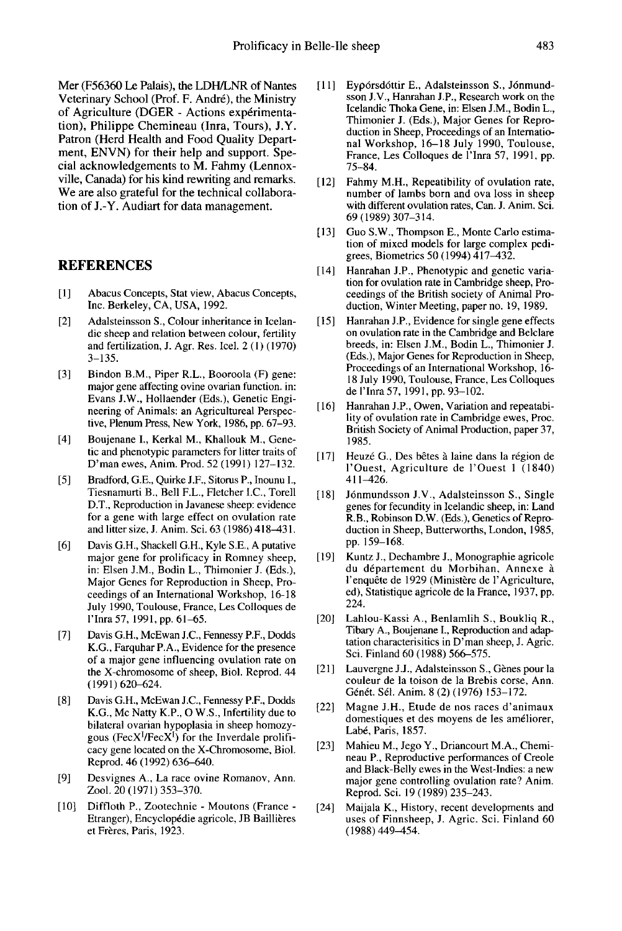Mer (F56360 Le Palais), the LDH/LNR of Nantes Veterinary School (Prof. F. Andre), the Ministry of Agriculture (DGER - Actions experimentation), Philippe Chemineau (Inra, Tours), J.Y. Patron (Herd Health and Food Quality Department, ENVN) for their help and support. Special acknowledgements to M. Fahmy (Lennoxville, Canada) for his kind rewriting and remarks. We are also grateful for the technical collaboration of J.-Y. Audiart for data management.

#### REFERENCES

- [1] Abacus Concepts, Stat view, Abacus Concepts, Inc. Berkeley, CA, USA, 1992.
- [2] Adalsteinsson S., Colour inheritance in Icelandic sheep and relation between colour, fertility and fertilization, J. Agr. Res. Icel. 2 (1) ( 1970) 3-135.
- [3] Bindon B.M., Piper R.L., Booroola (F) gene: major gene affecting ovine ovarian function. in: Evans J.W., Hollaender (Eds.), Genetic Engineering of Animals: an Agricultureal Perspective, Plenum Press, New York, 1986, pp. 67-93.
- [4] Boujenane I., Kerkal M., Khallouk M., Genetic and phenotypic parameters for litter traits of D'man ewes, Anim. Prod. 52 (1991) 127-132.
- [5] Bradford, G.E., Quirke J.F., Sitorus P., Inounu I., Tiesnamurti B., Bell F.L., Fletcher I.C., Torell D.T., Reproduction in Javanese sheep: evidence for a gene with large effect on ovulation rate and litter size, J. Anim. Sci. 63 (1986) 418-43 1.
- [6] Davis G.H., Shackell G.H., Kyle S.E., A putative major gene for prolificacy in Romney sheep, in: Elsen J.M., Bodin L., Thimonier J. (Eds.), Major Genes for Reproduction in Sheep, Proceedings of an International Workshop, 16-18 July 1990, Toulouse, France, Les Colloques de I'Inra 57, 1991, pp. 61-65.
- [7] Davis G.H., McEwan J.C., Fennessy P.F., Dodds K.G., Farquhar P.A., Evidence for the presence of a major gene influencing ovulation rate on the X-chromosome of sheep, Biol. Reprod. 44 (1991) 620-624.
- [8] Davis G.H., McEwan J.C., Fennessy P.F., Dodds K.G., Mc Natty K.P., 0 W.S., Infertility due to bilateral ovarian hypoplasia in sheep homozy-<br>gous (FecX<sup>I</sup>/FecX<sup>I</sup>) for the Inverdale prolifiof a major gene influencing ovulation rate on<br>the X-chromosome of sheep, Biol. Reprod. 44<br>(1991) 620–624.<br>Davis G.H., McEwan J.C., Fennessy P.F., Dodds<br>K.G., Mc Natty K.P., O W.S., Infertility due to<br>bilateral ovarian hypo Reprod. 46 (1992) 636-640.
- [9] Desvignes A., La race ovine Romanov, Ann. Zool. 20 (1971) 353-370.
- [10] Diffloth P., Zootechnie Moutons (France Etranger), Encyclopédie agricole, JB Baillières et Frères, Paris, 1923.
- [11] Eyporsdottir E., Adalsteinsson S., J6nmundsson J.V., Hanrahan J.P., Research work on the Icelandic Thoka Gene, in: Elsen J.M., Bodin L., Thimonier J. (Eds.), Major Genes for Reproduction in Sheep, Proceedings of an Intemational Workshop, 16-18 July 1990, Toulouse, France, Les Colloques de l'Inra 57, 1991, pp. 75-84.
- [12] Fahmy M.H., Repeatibility of ovulation rate, number of lambs born and ova loss in sheep with different ovulation rates, Can. J. Anim. Sci. 69(1989)307-314.
- [13] Guo S.W., Thompson E., Monte Carlo estimation of mixed models for large complex pedi grees, Biometrics 50 (1994) 417-432.
- [14] Hanrahan J.P., Phenotypic and genetic variation for ovulation rate in Cambridge sheep, Proceedings of the British society of Animal Production, Winter Meeting, paper no. 19, 1989.
- [15] Hanrahan J.P., Evidence for single gene effects on ovulation rate in the Cambridge and Belclare breeds, in: Elsen J.M., Bodin L., Thimonier J. (Eds.), Major Genes for Reproduction in Sheep, Proceedings of an International Workshop, 16- 18 July 1990, Toulouse, France, Les Colloques de I'Inra 57, 1991, pp. 93-102.
- [16] Hanrahan J.P., Owen, Variation and repeatability of ovulation rate in Cambridge ewes, Proc. British Society of Animal Production, paper 37, 1985.
- [17] Heuzé G., Des bêtes à laine dans la région de 1'Ouest, Agriculture de 1'Ouest 1 (1840) 411-426.
- [18] J6nmundsson J.V., Adalsteinsson S., Single genes for fecundity in Icelandic sheep, in: Land R.B., Robinson D.W. (Eds.), Genetics of Reproduction in Sheep, Butterworths, London, 1985, pp. 159-168.
- [19] Kuntz J., Dechambre J., Monographie agricole du d6partement du Morbihan, Annexe à l'enquête de 1929 (Ministère de l'Agriculture, ed), Statistique agricole de la France, 1937, pp. 224.
- [20] Lahlou-Kassi A., Benlamlih S., Boukliq R., Tibary A., Boujenane L, Reproduction and adaptation characterisitics in D'man sheep, J. Agric. Sci. Finland 60 (1988) 566-575.
- [21] Lauvergne J.J., Adalsteinsson S., Gènes pour la couleur de la toison de la Brebis corse, Ann. Génét. Sél. Anim. 8 (2) (1976) 153-172.
- [22] Magne J.H., Etude de nos races d'animaux domestiques et des moyens de les améliorer, Labé, Paris, 1857.
- [23] Mahieu M., Jego Y., Driancourt M.A., Chemineau P., Reproductive performances of Creole and Black-Belly ewes in the West-Indies: a new major gene controlling ovulation rate? Anim. Reprod. Sci. 19 (1989) 235-243.
- [24] Maijala K., History, recent developments and uses of Finnsheep, J. Agric. Sci. Finland 60  $(1988)$  449-454.